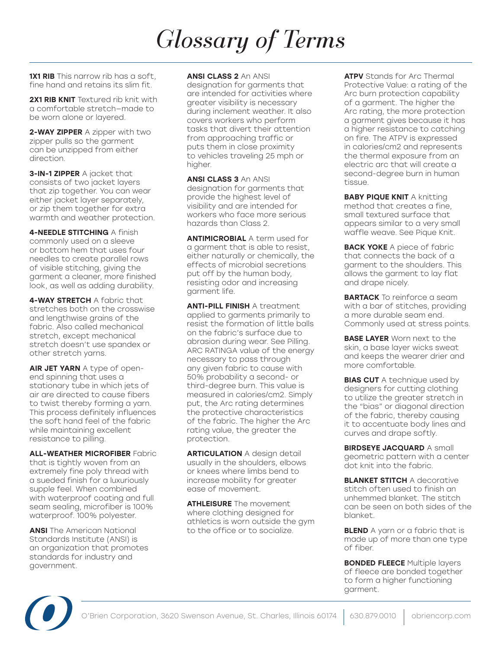**1X1 RIB** This narrow rib has a soft. fine hand and retains its slim fit.

**2X1 RIB KNIT** Textured rib knit with a comfortable stretch—made to be worn alone or layered.

2-WAY ZIPPER A zipper with two zipper pulls so the garment can be unzipped from either direction.

3-IN-1 ZIPPER A jacket that consists of two jacket layers that zip together. You can wear either jacket layer separately, or zip them together for extra warmth and weather protection.

4-NEEDLE STITCHING A finish commonly used on a sleeve or bottom hem that uses four needles to create parallel rows of visible stitching, giving the garment a cleaner, more finished look, as well as adding durability.

4-WAY STRETCH A fabric that stretches both on the crosswise and lengthwise grains of the fabric. Also called mechanical stretch, except mechanical stretch doesn't use spandex or other stretch yarns.

AIR JET YARN A type of openend spinning that uses a stationary tube in which jets of air are directed to cause fibers to twist thereby forming a yarn. This process definitely influences the soft hand feel of the fabric while maintaining excellent resistance to pilling.

ALL-WEATHER MICROFIBER Fabric that is tightly woven from an extremely fine poly thread with a sueded finish for a luxuriously supple feel. When combined with waterproof coating and full seam sealing, microfiber is 100% waterproof. 100% polyester.

**ANSI** The American National Standards Institute (ANSI) is an organization that promotes standards for industry and government.

### ANSI CLASS 2 An ANSI

designation for garments that are intended for activities where greater visibility is necessary during inclement weather. It also covers workers who perform tasks that divert their attention from approaching traffic or puts them in close proximity to vehicles traveling 25 mph or higher.

ANSI CLASS 3 An ANSI designation for garments that provide the highest level of visibility and are intended for workers who face more serious hazards than Class 2.

**ANTIMICROBIAL A term used for** a garment that is able to resist, either naturally or chemically, the effects of microbial secretions put off by the human body, resisting odor and increasing garment life.

ANTI-PILL FINISH A treatment applied to garments primarily to resist the formation of little balls on the fabric's surface due to abrasion during wear. See Pilling. ARC RATINGA value of the energy necessary to pass through any given fabric to cause with 50% probability a second- or third-degree burn. This value is measured in calories/cm2. Simply put, the Arc rating determines the protective characteristics of the fabric. The higher the Arc rating value, the greater the protection.

**ARTICULATION A design detail** usually in the shoulders, elbows or knees where limbs bend to increase mobility for greater ease of movement.

**ATHLEISURE** The movement where clothing designed for athletics is worn outside the gym to the office or to socialize.

**ATPV** Stands for Arc Thermal Protective Value: a rating of the Arc burn protection capability of a garment. The higher the Arc rating, the more protection a garment gives because it has a higher resistance to catching on fire. The ATPV is expressed in calories/cm2 and represents the thermal exposure from an electric arc that will create a second-degree burn in human tissue.

**BABY PIQUE KNIT A knitting** method that creates a fine, small textured surface that appears similar to a very small waffle weave. See Pique Knit.

**BACK YOKE** A piece of fabric that connects the back of a garment to the shoulders. This allows the garment to lay flat and drape nicely.

**BARTACK** To reinforce a seam with a bar of stitches, providing a more durable seam end. Commonly used at stress points.

**BASE LAYER** Worn next to the skin, a base layer wicks sweat and keeps the wearer drier and more comfortable.

**BIAS CUT** A technique used by designers for cutting clothing to utilize the greater stretch in the "bias" or diagonal direction of the fabric, thereby causing it to accentuate body lines and curves and drape softly.

BIRDSEYE JACQUARD A small geometric pattern with a center dot knit into the fabric.

**BLANKET STITCH A decorative** stitch often used to finish an unhemmed blanket. The stitch can be seen on both sides of the blanket.

**BLEND** A yarn or a fabric that is made up of more than one type of fiber.

**BONDED FLEECE Multiple layers** of fleece are bonded together to form a higher functioning garment.

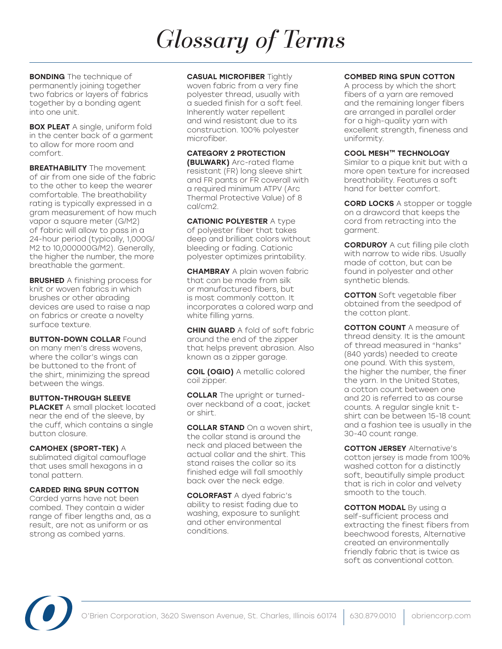**BONDING** The technique of permanently joining together two fabrics or layers of fabrics together by a bonding agent into one unit.

**BOX PLEAT** A single, uniform fold in the center back of a garment to allow for more room and comfort.

**BREATHABILITY** The movement of air from one side of the fabric to the other to keep the wearer comfortable. The breathability rating is typically expressed in a gram measurement of how much vapor a square meter (G/M2) of fabric will allow to pass in a 24-hour period (typically, 1,000G/ M2 to 10,000000G/M2). Generally, the higher the number, the more breathable the garment.

**BRUSHED** A finishing process for knit or woven fabrics in which brushes or other abrading devices are used to raise a nap on fabrics or create a novelty surface texture.

**BUTTON-DOWN COLLAR Found** on many men's dress wovens, where the collar's wings can be buttoned to the front of the shirt, minimizing the spread between the wings.

BUTTON-THROUGH SLEEVE PLACKET A small placket located near the end of the sleeve, by the cuff, which contains a single button closure.

CAMOHEX (SPORT-TEK) A sublimated digital camouflage that uses small hexagons in a tonal pattern.

### CARDED RING SPUN COTTON

Carded yarns have not been combed. They contain a wider range of fiber lengths and, as a result, are not as uniform or as strong as combed yarns.

#### **CASUAL MICROFIBER Tightly**

woven fabric from a very fine polyester thread, usually with a sueded finish for a soft feel. Inherently water repellent and wind resistant due to its construction. 100% polyester microfiber.

### CATEGORY 2 PROTECTION

(BULWARK) Arc-rated flame resistant (FR) long sleeve shirt and FR pants or FR coverall with a required minimum ATPV (Arc Thermal Protective Value) of 8 cal/cm2.

**CATIONIC POLYESTER A type** of polyester fiber that takes deep and brilliant colors without bleeding or fading. Cationic polyester optimizes printability.

**CHAMBRAY** A plain woven fabric that can be made from silk or manufactured fibers, but is most commonly cotton. It incorporates a colored warp and white filling yarns.

**CHIN GUARD** A fold of soft fabric around the end of the zipper that helps prevent abrasion. Also known as a zipper garage.

COIL (OGIO) A metallic colored coil zipper.

**COLLAR** The upright or turnedover neckband of a coat, jacket or shirt.

**COLLAR STAND** On a woven shirt, the collar stand is around the neck and placed between the actual collar and the shirt. This stand raises the collar so its finished edge will fall smoothly back over the neck edge.

COLORFAST A dyed fabric's ability to resist fading due to washing, exposure to sunlight and other environmental conditions.

### COMBED RING SPUN COTTON

A process by which the short fibers of a yarn are removed and the remaining longer fibers are arranged in parallel order for a high-quality yarn with excellent strength, fineness and uniformity.

### COOL MESH™ TECHNOLOGY

Similar to a pique knit but with a more open texture for increased breathability. Features a soft hand for better comfort.

CORD LOCKS A stopper or toggle on a drawcord that keeps the cord from retracting into the garment.

**CORDUROY** A cut filling pile cloth with narrow to wide ribs. Usually made of cotton, but can be found in polyester and other synthetic blends.

COTTON Soft vegetable fiber obtained from the seedpod of the cotton plant.

**COTTON COUNT** A measure of thread density. It is the amount of thread measured in "hanks" (840 yards) needed to create one pound. With this system, the higher the number, the finer the yarn. In the United States, a cotton count between one and 20 is referred to as course counts. A regular single knit tshirt can be between 15-18 count and a fashion tee is usually in the 30-40 count range.

**COTTON JERSEY Alternative's** cotton jersey is made from 100% washed cotton for a distinctly soft, beautifully simple product that is rich in color and velvety smooth to the touch.

**COTTON MODAL** By using a self-sufficient process and extracting the finest fibers from beechwood forests, Alternative created an environmentally friendly fabric that is twice as soft as conventional cotton.

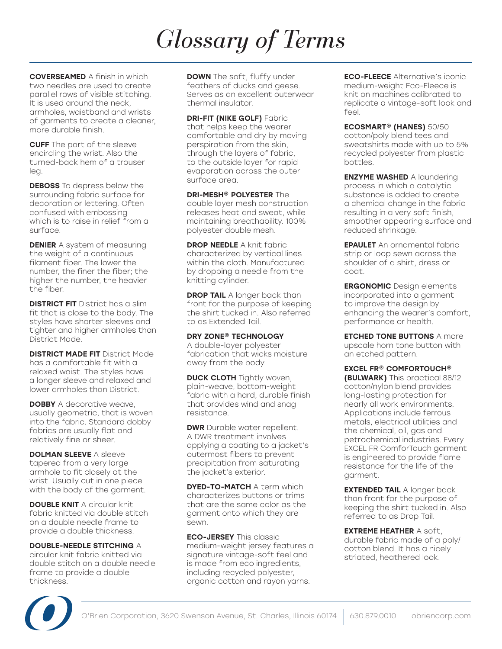COVERSEAMED A finish in which two needles are used to create parallel rows of visible stitching. It is used around the neck, armholes, waistband and wrists of garments to create a cleaner, more durable finish.

CUFF The part of the sleeve encircling the wrist. Also the turned-back hem of a trouser leg.

**DEBOSS** To depress below the surrounding fabric surface for decoration or lettering. Often confused with embossing which is to raise in relief from a surface.

**DENIER** A system of measuring the weight of a continuous filament fiber. The lower the number, the finer the fiber; the higher the number, the heavier the fiber.

**DISTRICT FIT** District has a slim fit that is close to the body. The styles have shorter sleeves and tighter and higher armholes than District Made.

**DISTRICT MADE FIT District Made** has a comfortable fit with a relaxed waist. The styles have a longer sleeve and relaxed and lower armholes than District.

**DOBBY** A decorative weave. usually geometric, that is woven into the fabric. Standard dobby fabrics are usually flat and relatively fine or sheer.

DOLMAN SLEEVE A sleeve tapered from a very large armhole to fit closely at the wrist. Usually cut in one piece with the body of the garment.

**DOUBLE KNIT** A circular knit fabric knitted via double stitch on a double needle frame to provide a double thickness.

#### DOUBLE-NEEDLE STITCHING A

circular knit fabric knitted via double stitch on a double needle frame to provide a double thickness.

**DOWN** The soft, fluffy under feathers of ducks and geese. Serves as an excellent outerwear thermal insulator.

DRI-FIT (NIKE GOLF) Fabric that helps keep the wearer comfortable and dry by moving perspiration from the skin, through the layers of fabric, to the outside layer for rapid evaporation across the outer surface area.

DRI-MESH® POLYESTER The double layer mesh construction releases heat and sweat, while maintaining breathability. 100% polyester double mesh.

**DROP NEEDLE A knit fabric** characterized by vertical lines within the cloth. Manufactured by dropping a needle from the knitting cylinder.

**DROP TAIL** A longer back than front for the purpose of keeping the shirt tucked in. Also referred to as Extended Tail.

DRY ZONE® TECHNOLOGY A double-layer polyester fabrication that wicks moisture away from the body.

**DUCK CLOTH** Tightly woven, plain-weave, bottom-weight fabric with a hard, durable finish that provides wind and snag resistance.

**DWR** Durable water repellent. A DWR treatment involves applying a coating to a jacket's outermost fibers to prevent precipitation from saturating the jacket's exterior.

**DYED-TO-MATCH A term which** characterizes buttons or trims that are the same color as the garment onto which they are sewn.

**ECO-JERSEY** This classic medium-weight jersey features a signature vintage-soft feel and is made from eco ingredients, including recycled polyester, organic cotton and rayon yarns.

ECO-FLEECE Alternative's iconic medium-weight Eco-Fleece is knit on machines calibrated to replicate a vintage-soft look and feel.

ECOSMART® (HANES) 50/50 cotton/poly blend tees and sweatshirts made with up to 5% recycled polyester from plastic bottles.

ENZYME WASHED A laundering process in which a catalytic substance is added to create a chemical change in the fabric resulting in a very soft finish, smoother appearing surface and reduced shrinkage.

EPAULET An ornamental fabric strip or loop sewn across the shoulder of a shirt, dress or coat.

ERGONOMIC Design elements incorporated into a garment to improve the design by enhancing the wearer's comfort, performance or health.

**ETCHED TONE BUTTONS A more** upscale horn tone button with an etched pattern.

EXCEL FR® COMFORTOUCH® (BULWARK) This practical 88/12 cotton/nylon blend provides long-lasting protection for nearly all work environments. Applications include ferrous metals, electrical utilities and the chemical, oil, gas and petrochemical industries. Every EXCEL FR ComforTouch garment is engineered to provide flame resistance for the life of the garment.

**EXTENDED TAIL** A longer back than front for the purpose of keeping the shirt tucked in. Also referred to as Drop Tail.

EXTREME HEATHER A soft, durable fabric made of a poly/ cotton blend. It has a nicely striated, heathered look.

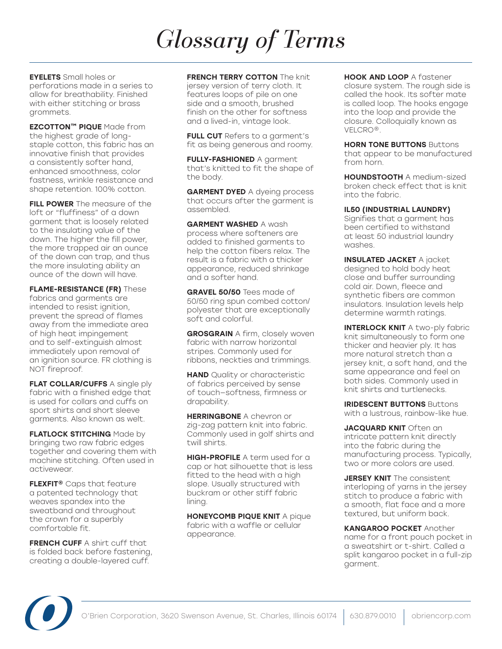EYELETS Small holes or perforations made in a series to allow for breathability. Finished with either stitching or brass grommets.

EZCOTTON™ PIQUE Made from the highest grade of longstaple cotton, this fabric has an innovative finish that provides a consistently softer hand, enhanced smoothness, color fastness, wrinkle resistance and shape retention. 100% cotton.

FILL POWER The measure of the loft or "fluffiness" of a down garment that is loosely related to the insulating value of the down. The higher the fill power, the more trapped air an ounce of the down can trap, and thus the more insulating ability an ounce of the down will have.

FLAME-RESISTANCE (FR) These fabrics and garments are intended to resist ignition, prevent the spread of flames away from the immediate area of high heat impingement and to self-extinguish almost immediately upon removal of an ignition source. FR clothing is NOT fireproof.

FLAT COLLAR/CUFFS A single ply fabric with a finished edge that is used for collars and cuffs on sport shirts and short sleeve garments. Also known as welt.

FLATLOCK STITCHING Made by bringing two raw fabric edges together and covering them with machine stitching. Often used in activewear.

FLEXFIT<sup>®</sup> Caps that feature a patented technology that weaves spandex into the sweatband and throughout the crown for a superbly comfortable fit.

FRENCH CUFF A shirt cuff that is folded back before fastening, creating a double-layered cuff.

#### FRENCH TERRY COTTON The knit

jersey version of terry cloth. It features loops of pile on one side and a smooth, brushed finish on the other for softness and a lived-in, vintage look.

**FULL CUT** Refers to a garment's fit as being generous and roomy.

**FULLY-FASHIONED A garment** that's knitted to fit the shape of the body.

**GARMENT DYED** A dyeing process that occurs after the garment is assembled.

GARMENT WASHED A wash process where softeners are added to finished garments to help the cotton fibers relax. The result is a fabric with a thicker appearance, reduced shrinkage and a softer hand.

GRAVEL 50/50 Tees made of 50/50 ring spun combed cotton/ polyester that are exceptionally soft and colorful.

**GROSGRAIN** A firm, closely woven fabric with narrow horizontal stripes. Commonly used for ribbons, neckties and trimmings.

**HAND** Quality or characteristic of fabrics perceived by sense of touch—softness, firmness or drapability.

**HERRINGBONE A chevron or** zig-zag pattern knit into fabric. Commonly used in golf shirts and twill shirts.

**HIGH-PROFILE** A term used for a cap or hat silhouette that is less fitted to the head with a high slope. Usually structured with buckram or other stiff fabric lining.

HONEYCOMB PIQUE KNIT A pique fabric with a waffle or cellular appearance.

HOOK AND LOOP A fastener closure system. The rough side is called the hook. Its softer mate is called loop. The hooks engage into the loop and provide the closure. Colloquially known as VELCRO®.

**HORN TONE BUTTONS Buttons** that appear to be manufactured from horn.

HOUNDSTOOTH A medium-sized broken check effect that is knit into the fabric.

IL50 (INDUSTRIAL LAUNDRY)

Signifies that a garment has been certified to withstand at least 50 industrial laundry washes.

INSULATED JACKET A jacket designed to hold body heat close and buffer surrounding cold air. Down, fleece and synthetic fibers are common insulators. Insulation levels help determine warmth ratings.

**INTERLOCK KNIT** A two-ply fabric knit simultaneously to form one thicker and heavier ply. It has more natural stretch than a jersey knit, a soft hand, and the same appearance and feel on both sides. Commonly used in knit shirts and turtlenecks.

IRIDESCENT BUTTONS Buttons with a lustrous, rainbow-like hue.

JACQUARD KNIT Often an intricate pattern knit directly into the fabric during the manufacturing process. Typically, two or more colors are used.

**JERSEY KNIT** The consistent interloping of yarns in the jersey stitch to produce a fabric with a smooth, flat face and a more textured, but uniform back.

KANGAROO POCKET Another name for a front pouch pocket in a sweatshirt or t-shirt. Called a split kangaroo pocket in a full-zip garment.

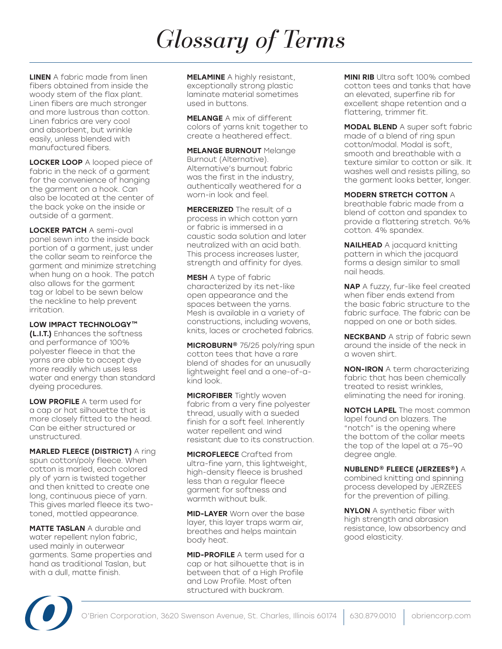**LINEN** A fabric made from linen fibers obtained from inside the woody stem of the flax plant. Linen fibers are much stronger and more lustrous than cotton. Linen fabrics are very cool and absorbent, but wrinkle easily, unless blended with manufactured fibers.

LOCKER LOOP A looped piece of fabric in the neck of a garment for the convenience of hanging the garment on a hook. Can also be located at the center of the back yoke on the inside or outside of a garment.

LOCKER PATCH A semi-oval panel sewn into the inside back portion of a garment, just under the collar seam to reinforce the garment and minimize stretching when hung on a hook. The patch also allows for the garment tag or label to be sewn below the neckline to help prevent irritation.

#### LOW IMPACT TECHNOLOGY™

(L.I.T.) Enhances the softness and performance of 100% polyester fleece in that the yarns are able to accept dye more readily which uses less water and energy than standard dyeing procedures.

LOW PROFILE A term used for a cap or hat silhouette that is more closely fitted to the head. Can be either structured or unstructured.

MARLED FLEECE (DISTRICT) A ring spun cotton/poly fleece. When cotton is marled, each colored ply of yarn is twisted together and then knitted to create one long, continuous piece of yarn. This gives marled fleece its twotoned, mottled appearance.

MATTE TASLAN A durable and water repellent nylon fabric, used mainly in outerwear garments. Same properties and hand as traditional Taslan, but with a dull, matte finish.

**MELAMINE** A highly resistant, exceptionally strong plastic laminate material sometimes used in buttons.

MELANGE A mix of different colors of yarns knit together to create a heathered effect.

MELANGE BURNOUT Melange Burnout (Alternative). Alternative's burnout fabric was the first in the industry, authentically weathered for a worn-in look and feel.

MERCERIZED The result of a process in which cotton yarn or fabric is immersed in a caustic soda solution and later neutralized with an acid bath. This process increases luster, strength and affinity for dyes.

MESH A type of fabric characterized by its net-like open appearance and the spaces between the yarns. Mesh is available in a variety of constructions, including wovens, knits, laces or crocheted fabrics.

MICROBURN® 75/25 poly/ring spun cotton tees that have a rare blend of shades for an unusually lightweight feel and a one-of-akind look.

**MICROFIBER** Tightly woven fabric from a very fine polyester thread, usually with a sueded finish for a soft feel. Inherently water repellent and wind resistant due to its construction.

**MICROFLEECE** Crafted from ultra-fine yarn, this lightweight, high-density fleece is brushed less than a regular fleece garment for softness and warmth without bulk.

**MID-LAYER** Worn over the base layer, this layer traps warm air, breathes and helps maintain body heat.

MID-PROFILE A term used for a cap or hat silhouette that is in between that of a High Profile and Low Profile. Most often structured with buckram.

MINI RIB Ultra soft 100% combed cotton tees and tanks that have an elevated, superfine rib for excellent shape retention and a flattering, trimmer fit.

MODAL BLEND A super soft fabric made of a blend of ring spun cotton/modal. Modal is soft, smooth and breathable with a texture similar to cotton or silk. It washes well and resists pilling, so the garment looks better, longer.

MODERN STRETCH COTTON A

breathable fabric made from a blend of cotton and spandex to provide a flattering stretch. 96% cotton. 4% spandex.

NAILHEAD A jacquard knitting pattern in which the jacquard forms a design similar to small nail heads.

NAP A fuzzy, fur-like feel created when fiber ends extend from the basic fabric structure to the fabric surface. The fabric can be napped on one or both sides.

NECKBAND A strip of fabric sewn around the inside of the neck in a woven shirt.

NON-IRON A term characterizing fabric that has been chemically treated to resist wrinkles, eliminating the need for ironing.

**NOTCH LAPEL** The most common lapel found on blazers. The "notch" is the opening where the bottom of the collar meets the top of the lapel at a 75–90 degree angle.

NUBLEND® FLEECE (JERZEES®) A

combined knitting and spinning process developed by JERZEES for the prevention of pilling.

NYLON A synthetic fiber with high strength and abrasion resistance, low absorbency and good elasticity.

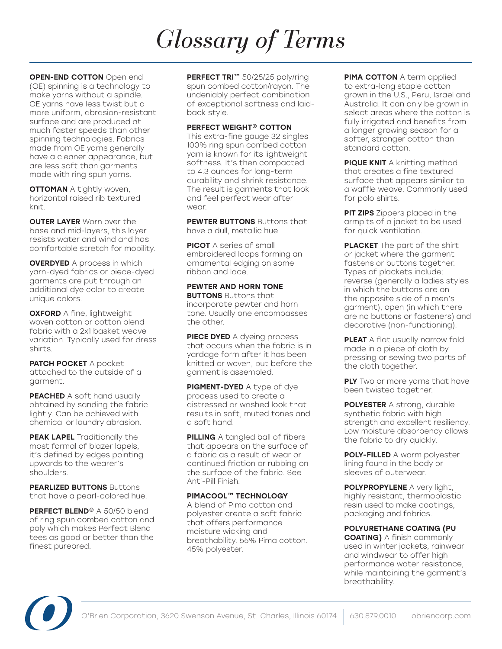**OPEN-END COTTON** Open end (OE) spinning is a technology to make yarns without a spindle. OE yarns have less twist but a more uniform, abrasion-resistant surface and are produced at much faster speeds than other spinning technologies. Fabrics made from OE yarns generally have a cleaner appearance, but are less soft than garments made with ring spun yarns.

**OTTOMAN** A tightly woven, horizontal raised rib textured knit.

**OUTER LAYER** Worn over the base and mid-layers, this layer resists water and wind and has comfortable stretch for mobility.

**OVERDYED** A process in which yarn-dyed fabrics or piece-dyed garments are put through an additional dye color to create unique colors.

**OXFORD** A fine, lightweight woven cotton or cotton blend fabric with a 2x1 basket weave variation. Typically used for dress shirts.

PATCH POCKET A pocket attached to the outside of a garment.

PEACHED A soft hand usually obtained by sanding the fabric lightly. Can be achieved with chemical or laundry abrasion.

PEAK LAPEL Traditionally the most formal of blazer lapels, it's defined by edges pointing upwards to the wearer's shoulders.

**PEARLIZED BUTTONS Buttons** that have a pearl-colored hue.

PERFECT BLEND<sup>®</sup> A 50/50 blend of ring spun combed cotton and poly which makes Perfect Blend tees as good or better than the finest purebred.

PERFECT TRI™ 50/25/25 poly/ring spun combed cotton/rayon. The undeniably perfect combination of exceptional softness and laidback style.

#### PERFECT WEIGHT® COTTON

This extra-fine gauge 32 singles 100% ring spun combed cotton yarn is known for its lightweight softness. It's then compacted to 4.3 ounces for long-term durability and shrink resistance. The result is garments that look and feel perfect wear after wear.

PEWTER BUTTONS Buttons that have a dull, metallic hue.

**PICOT** A series of small embroidered loops forming an ornamental edging on some ribbon and lace.

### PEWTER AND HORN TONE

**BUTTONS** Buttons that incorporate pewter and horn tone. Usually one encompasses the other.

PIECE DYED A dyeing process that occurs when the fabric is in yardage form after it has been knitted or woven, but before the garment is assembled.

PIGMENT-DYED A type of dye process used to create a distressed or washed look that results in soft, muted tones and a soft hand.

PILLING A tangled ball of fibers that appears on the surface of a fabric as a result of wear or continued friction or rubbing on the surface of the fabric. See Anti-Pill Finish.

### PIMACOOL™ TECHNOLOGY

A blend of Pima cotton and polyester create a soft fabric that offers performance moisture wicking and breathability. 55% Pima cotton. 45% polyester.

PIMA COTTON A term applied to extra-long staple cotton grown in the U.S., Peru, Israel and Australia. It can only be grown in select areas where the cotton is fully irrigated and benefits from a longer growing season for a softer, stronger cotton than standard cotton.

PIQUE KNIT A knitting method that creates a fine textured surface that appears similar to a waffle weave. Commonly used for polo shirts.

**PIT ZIPS** Zippers placed in the armpits of a jacket to be used for quick ventilation.

**PLACKET** The part of the shirt or jacket where the garment fastens or buttons together. Types of plackets include: reverse (generally a ladies styles in which the buttons are on the opposite side of a men's garment), open (in which there are no buttons or fasteners) and decorative (non-functioning).

PLEAT A flat usually narrow fold made in a piece of cloth by pressing or sewing two parts of the cloth together.

**PLY** Two or more yarns that have been twisted together.

POLYESTER A strong, durable synthetic fabric with high strength and excellent resiliency. Low moisture absorbency allows the fabric to dry quickly.

POLY-FILLED A warm polyester lining found in the body or sleeves of outerwear.

POLYPROPYLENE A very light, highly resistant, thermoplastic resin used to make coatings, packaging and fabrics.

POLYURETHANE COATING (PU

COATING) A finish commonly used in winter jackets, rainwear and windwear to offer high performance water resistance, while maintaining the garment's breathability.

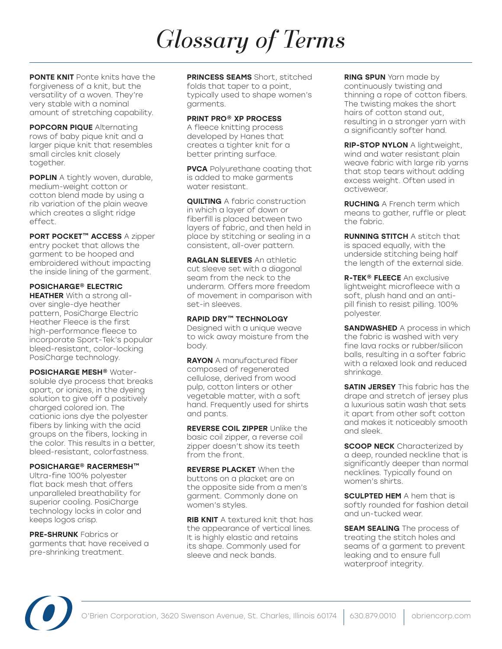PONTE KNIT Ponte knits have the forgiveness of a knit, but the versatility of a woven. They're very stable with a nominal amount of stretching capability.

**POPCORN PIQUE Alternating** rows of baby pique knit and a larger pique knit that resembles small circles knit closely together.

**POPLIN** A tightly woven, durable, medium-weight cotton or cotton blend made by using a rib variation of the plain weave which creates a slight ridge effect.

PORT POCKET™ ACCESS A zipper entry pocket that allows the garment to be hooped and embroidered without impacting the inside lining of the garment.

### POSICHARGE® ELECTRIC

**HEATHER** With a strong allover single-dye heather pattern, PosiCharge Electric Heather Fleece is the first high-performance fleece to incorporate Sport-Tek's popular bleed-resistant, color-locking PosiCharge technology.

POSICHARGE MESH<sup>®</sup> Watersoluble dye process that breaks apart, or ionizes, in the dyeing solution to give off a positively charged colored ion. The cationic ions dye the polyester fibers by linking with the acid groups on the fibers, locking in the color. This results in a better, bleed-resistant, colorfastness.

#### POSICHARGE® RACERMESH™

Ultra-fine 100% polyester flat back mesh that offers unparalleled breathability for superior cooling. PosiCharge technology locks in color and keeps logos crisp.

PRE-SHRUNK Fabrics or garments that have received a pre-shrinking treatment.

PRINCESS SEAMS Short, stitched folds that taper to a point, typically used to shape women's garments.

#### PRINT PRO® XP PROCESS

A fleece knitting process developed by Hanes that creates a tighter knit for a better printing surface.

**PVCA** Polyurethane coating that is added to make garments water resistant.

**QUILTING** A fabric construction in which a layer of down or fiberfill is placed between two layers of fabric, and then held in place by stitching or sealing in a consistent, all-over pattern.

**RAGLAN SLEEVES** An athletic cut sleeve set with a diagonal seam from the neck to the underarm. Offers more freedom of movement in comparison with set-in sleeves.

#### RAPID DRY™ TECHNOLOGY

Designed with a unique weave to wick away moisture from the body.

**RAYON** A manufactured fiber composed of regenerated cellulose, derived from wood pulp, cotton linters or other vegetable matter, with a soft hand. Frequently used for shirts and pants.

REVERSE COIL ZIPPER Unlike the basic coil zipper, a reverse coil zipper doesn't show its teeth from the front.

REVERSE PLACKET When the buttons on a placket are on the opposite side from a men's garment. Commonly done on women's styles.

**RIB KNIT** A textured knit that has the appearance of vertical lines. It is highly elastic and retains its shape. Commonly used for sleeve and neck bands.

**RING SPUN** Yarn made by continuously twisting and thinning a rope of cotton fibers. The twisting makes the short hairs of cotton stand out, resulting in a stronger yarn with a significantly softer hand.

RIP-STOP NYLON A lightweight, wind and water resistant plain weave fabric with large rib yarns that stop tears without adding excess weight. Often used in activewear.

RUCHING A French term which means to gather, ruffle or pleat the fabric.

RUNNING STITCH A stitch that is spaced equally, with the underside stitching being half the length of the external side.

R-TEK<sup>®</sup> FLEECE An exclusive lightweight microfleece with a soft, plush hand and an antipill finish to resist pilling. 100% polyester.

**SANDWASHED** A process in which the fabric is washed with very fine lava rocks or rubber/silicon balls, resulting in a softer fabric with a relaxed look and reduced shrinkage.

**SATIN JERSEY** This fabric has the drape and stretch of jersey plus a luxurious satin wash that sets it apart from other soft cotton and makes it noticeably smooth and sleek.

**SCOOP NECK** Characterized by a deep, rounded neckline that is significantly deeper than normal necklines. Typically found on women's shirts.

**SCULPTED HEM** A hem that is softly rounded for fashion detail and un-tucked wear.

**SEAM SEALING** The process of treating the stitch holes and seams of a garment to prevent leaking and to ensure full waterproof integrity.

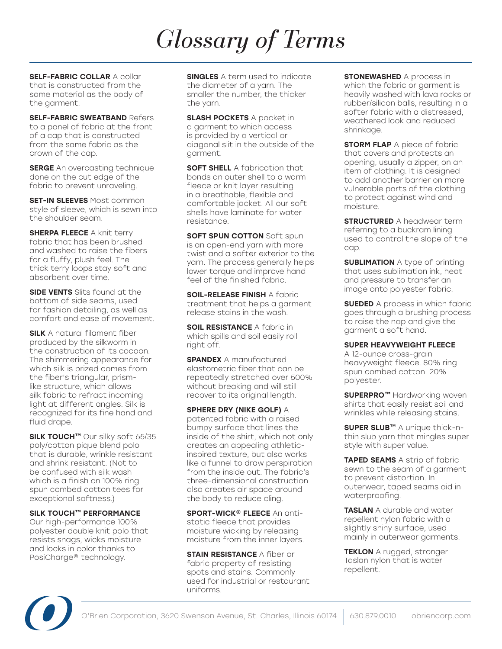SELF-FABRIC COLLAR A collar that is constructed from the same material as the body of the garment.

**SELF-FABRIC SWEATBAND Refers** to a panel of fabric at the front of a cap that is constructed from the same fabric as the crown of the cap.

**SERGE** An overcasting technique done on the cut edge of the fabric to prevent unraveling.

**SET-IN SLEEVES** Most common style of sleeve, which is sewn into the shoulder seam.

**SHERPA FLEECE A knit terry** fabric that has been brushed and washed to raise the fibers for a fluffy, plush feel. The thick terry loops stay soft and absorbent over time.

SIDE VENTS Slits found at the bottom of side seams, used for fashion detailing, as well as comfort and ease of movement.

**SILK** A natural filament fiber produced by the silkworm in the construction of its cocoon. The shimmering appearance for which silk is prized comes from the fiber's triangular, prismlike structure, which allows silk fabric to refract incoming light at different angles. Silk is recognized for its fine hand and fluid drape.

SILK TOUCH<sup>™</sup> Our silky soft 65/35 poly/cotton pique blend polo that is durable, wrinkle resistant and shrink resistant. (Not to be confused with silk wash which is a finish on 100% ring spun combed cotton tees for exceptional softness.)

SILK TOUCH™ PERFORMANCE Our high-performance 100% polyester double knit polo that resists snags, wicks moisture and locks in color thanks to PosiCharge® technology.

**SINGLES** A term used to indicate the diameter of a yarn. The smaller the number, the thicker the yarn.

**SLASH POCKETS** A pocket in a garment to which access is provided by a vertical or diagonal slit in the outside of the garment.

**SOFT SHELL** A fabrication that bonds an outer shell to a warm fleece or knit layer resulting in a breathable, flexible and comfortable jacket. All our soft shells have laminate for water resistance.

**SOFT SPUN COTTON Soft spun** is an open-end yarn with more twist and a softer exterior to the yarn. The process generally helps lower torque and improve hand feel of the finished fabric.

SOIL-RELEASE FINISH A fabric treatment that helps a garment release stains in the wash.

**SOIL RESISTANCE A fabric in** which spills and soil easily roll right off.

**SPANDEX** A manufactured elastometric fiber that can be repeatedly stretched over 500% without breaking and will still recover to its original length.

SPHERE DRY (NIKE GOLF) A patented fabric with a raised bumpy surface that lines the inside of the shirt, which not only creates an appealing athleticinspired texture, but also works like a funnel to draw perspiration from the inside out. The fabric's three-dimensional construction also creates air space around the body to reduce cling.

SPORT-WICK<sup>®</sup> FLEECE An antistatic fleece that provides moisture wicking by releasing moisture from the inner layers.

**STAIN RESISTANCE A fiber or** fabric property of resisting spots and stains. Commonly used for industrial or restaurant uniforms.

**STONEWASHED** A process in which the fabric or garment is heavily washed with lava rocks or rubber/silicon balls, resulting in a softer fabric with a distressed, weathered look and reduced shrinkage.

**STORM FLAP** A piece of fabric that covers and protects an opening, usually a zipper, on an item of clothing. It is designed to add another barrier on more vulnerable parts of the clothing to protect against wind and moisture.

**STRUCTURED** A headwear term referring to a buckram lining used to control the slope of the cap.

**SUBLIMATION** A type of printing that uses sublimation ink, heat and pressure to transfer an image onto polyester fabric.

**SUEDED** A process in which fabric goes through a brushing process to raise the nap and give the garment a soft hand.

#### SUPER HEAVYWEIGHT FLEECE

A 12-ounce cross-grain heavyweight fleece. 80% ring spun combed cotton. 20% polyester.

**SUPERPRO™** Hardworking woven shirts that easily resist soil and wrinkles while releasing stains.

SUPER SLUB<sup>™</sup> A unique thick-nthin slub yarn that mingles super style with super value.

TAPED SEAMS A strip of fabric sewn to the seam of a garment to prevent distortion. In outerwear, taped seams aid in waterproofing.

TASLAN A durable and water repellent nylon fabric with a slightly shiny surface, used mainly in outerwear garments.

**TEKLON** A rugged, stronger Taslan nylon that is water repellent.

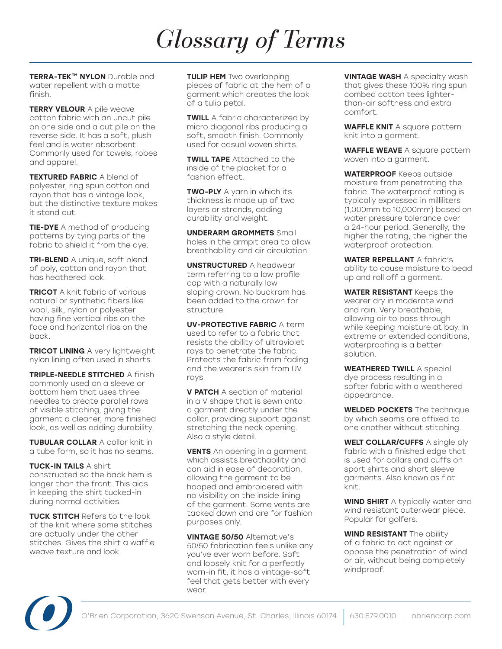TERRA-TEK™ NYLON Durable and water repellent with a matte finish.

**TERRY VELOUR** A pile weave cotton fabric with an uncut pile on one side and a cut pile on the reverse side. It has a soft, plush feel and is water absorbent. Commonly used for towels, robes and apparel.

TEXTURED FABRIC A blend of polyester, ring spun cotton and rayon that has a vintage look, but the distinctive texture makes it stand out.

**TIE-DYE** A method of producing patterns by tying parts of the fabric to shield it from the dye.

**TRI-BLEND** A unique, soft blend of poly, cotton and rayon that has heathered look.

**TRICOT** A knit fabric of various natural or synthetic fibers like wool, silk, nylon or polyester having fine vertical ribs on the face and horizontal ribs on the back.

TRICOT LINING A very lightweight nylon lining often used in shorts.

TRIPLE-NEEDLE STITCHED A finish commonly used on a sleeve or bottom hem that uses three needles to create parallel rows of visible stitching, giving the garment a cleaner, more finished look, as well as adding durability.

TUBULAR COLLAR A collar knit in a tube form, so it has no seams.

TUCK-IN TAILS A shirt constructed so the back hem is longer than the front. This aids in keeping the shirt tucked-in during normal activities.

TUCK STITCH Refers to the look of the knit where some stitches are actually under the other stitches. Gives the shirt a waffle weave texture and look.

TULIP HEM Two overlapping pieces of fabric at the hem of a garment which creates the look of a tulip petal.

**TWILL** A fabric characterized by micro diagonal ribs producing a soft, smooth finish. Commonly used for casual woven shirts.

**TWILL TAPE** Attached to the inside of the placket for a fashion effect.

**TWO-PLY** A yarn in which its thickness is made up of two layers or strands, adding durability and weight.

UNDERARM GROMMETS Small holes in the armpit area to allow breathability and air circulation.

UNSTRUCTURED A headwear term referring to a low profile cap with a naturally low sloping crown. No buckram has been added to the crown for structure.

UV-PROTECTIVE FABRIC A term used to refer to a fabric that resists the ability of ultraviolet rays to penetrate the fabric. Protects the fabric from fading and the wearer's skin from UV rays.

**V PATCH** A section of material in a V shape that is sewn onto a garment directly under the collar, providing support against stretching the neck opening. Also a style detail.

**VENTS** An opening in a garment which assists breathability and can aid in ease of decoration, allowing the garment to be hooped and embroidered with no visibility on the inside lining of the garment. Some vents are tacked down and are for fashion purposes only.

VINTAGE 50/50 Alternative's 50/50 fabrication feels unlike any you've ever worn before. Soft and loosely knit for a perfectly worn-in fit, it has a vintage-soft feel that gets better with every wear.

**VINTAGE WASH A specialty wash** that gives these 100% ring spun combed cotton tees lighterthan-air softness and extra comfort.

WAFFLE KNIT A square pattern knit into a garment.

WAFFLE WEAVE A square pattern woven into a garment.

WATERPROOF Keeps outside moisture from penetrating the fabric. The waterproof rating is typically expressed in milliliters (1,000mm to 10,000mm) based on water pressure tolerance over a 24-hour period. Generally, the higher the rating, the higher the waterproof protection.

WATER REPELLANT A fabric's ability to cause moisture to bead up and roll off a garment.

WATER RESISTANT Keeps the wearer dry in moderate wind and rain. Very breathable, allowing air to pass through while keeping moisture at bay. In extreme or extended conditions, waterproofing is a better solution.

WEATHERED TWILL A special dye process resulting in a softer fabric with a weathered appearance.

WELDED POCKETS The technique by which seams are affixed to one another without stitching.

WELT COLLAR/CUFFS A single ply fabric with a finished edge that is used for collars and cuffs on sport shirts and short sleeve garments. Also known as flat knit.

**WIND SHIRT** A typically water and wind resistant outerwear piece. Popular for golfers.

WIND RESISTANT The ability of a fabric to act against or oppose the penetration of wind or air, without being completely windproof.